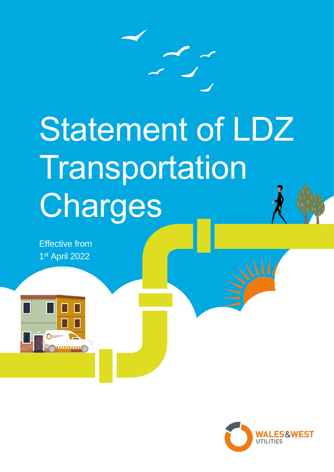

# Statement of LDZ Transportation Charges

Effective from 1 st April 2022



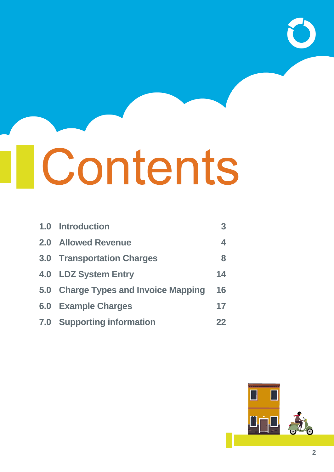# IContents

| 1.0 Introduction                     | 3  |
|--------------------------------------|----|
| 2.0 Allowed Revenue                  | 4  |
| <b>3.0 Transportation Charges</b>    | 8  |
| 4.0 LDZ System Entry                 | 14 |
| 5.0 Charge Types and Invoice Mapping | 16 |
| <b>6.0 Example Charges</b>           | 17 |
| <b>7.0 Supporting information</b>    | 22 |

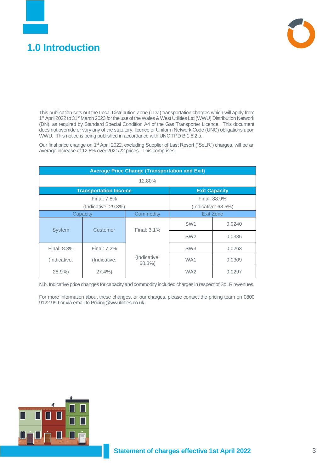# <span id="page-2-0"></span>**1.0 Introduction**



This publication sets out the Local Distribution Zone (LDZ) transportation charges which will apply from 1<sup>st</sup> April 2022 to 31<sup>st</sup> March 2023 for the use of the Wales & West Utilities Ltd (WWU) Distribution Network (DN), as required by Standard Special Condition A4 of the Gas Transporter Licence. This document does not override or vary any of the statutory, licence or Uniform Network Code (UNC) obligations upon WWU. This notice is being published in accordance with UNC TPD B 1.8.2 a.

Our final price change on 1<sup>st</sup> April 2022, excluding Supplier of Last Resort ("SoLR") charges, will be an average increase of 12.8% over 2021/22 prices. This comprises:

| <b>Average Price Change (Transportation and Exit)</b> |                                                      |                       |                 |                   |  |  |  |
|-------------------------------------------------------|------------------------------------------------------|-----------------------|-----------------|-------------------|--|--|--|
| 12.80%                                                |                                                      |                       |                 |                   |  |  |  |
|                                                       | <b>Transportation Income</b><br><b>Exit Capacity</b> |                       |                 |                   |  |  |  |
|                                                       | Final: 7.8%                                          |                       |                 | Final: 88.9%      |  |  |  |
|                                                       | (Indicate: 29.3%)                                    |                       |                 | (Indicate: 68.5%) |  |  |  |
| Commodity<br>Capacity                                 |                                                      |                       | Exit Zone       |                   |  |  |  |
| <b>System</b>                                         | Customer                                             | Final: 3.1%           | SW <sub>1</sub> | 0.0240            |  |  |  |
|                                                       |                                                      |                       | SW <sub>2</sub> | 0.0385            |  |  |  |
| <b>Final: 8.3%</b>                                    | Final: 7.2%                                          |                       | SW <sub>3</sub> | 0.0263            |  |  |  |
| (Indicative:                                          | (Indicative:                                         | (Indicative:<br>60.3% | WA <sub>1</sub> | 0.0309            |  |  |  |
| 28.9%)                                                | $27.4\%$                                             |                       | WA <sub>2</sub> | 0.0297            |  |  |  |

N.b. Indicative price changes for capacity and commodity included charges in respect of SoLR revenues.

For more information about these changes, or our charges, please contact the pricing team on 0800 9122 999 or via email to Pricing@wwutilities.co.uk.

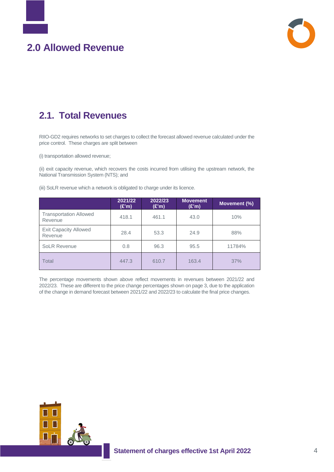# <span id="page-3-0"></span>**2.0 Allowed Revenue**



# **2.1. Total Revenues**

RIIO-GD2 requires networks to set charges to collect the forecast allowed revenue calculated under the price control. These charges are split between

(i) transportation allowed revenue;

(ii) exit capacity revenue, which recovers the costs incurred from utilising the upstream network, the National Transmission System (NTS); and

(iii) SoLR revenue which a network is obligated to charge under its licence.

|                                          | 2021/22<br>(E'm) | 2022/23<br>(£'m) | <b>Movement</b><br>(E'm) | Movement (%) |
|------------------------------------------|------------------|------------------|--------------------------|--------------|
| <b>Transportation Allowed</b><br>Revenue | 418.1            | 461.1            | 43.0                     | 10%          |
| <b>Exit Capacity Allowed</b><br>Revenue  | 28.4             | 53.3             | 24.9                     | 88%          |
| <b>SoLR Revenue</b>                      | 0.8              | 96.3             | 95.5                     | 11784%       |
| Total                                    | 447.3            | 610.7            | 163.4                    | 37%          |

The percentage movements shown above reflect movements in revenues between 2021/22 and 2022/23. These are different to the price change percentages shown on page 3, due to the application of the change in demand forecast between 2021/22 and 2022/23 to calculate the final price changes.

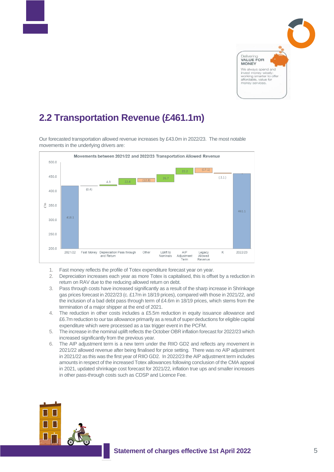

# **2.2 Transportation Revenue (£461.1m)**

Our forecasted transportation allowed revenue increases by £43.0m in 2022/23. The most notable movements in the underlying drivers are:



- 1. Fast money reflects the profile of Totex expenditure forecast year on year.
- 2. Depreciation increases each year as more Totex is capitalised, this is offset by a reduction in return on RAV due to the reducing allowed return on debt.
- 3. Pass through costs have increased significantly as a result of the sharp increase in Shrinkage gas prices forecast in 2022/23 (c. £17m in 18/19 prices), compared with those in 2021/22, and the inclusion of a bad debt pass through term of £4.6m in 18/19 prices, which stems from the termination of a major shipper at the end of 2021.
- 4. The reduction in other costs includes a £5.5m reduction in equity issuance allowance and £6.7m reduction to our tax allowance primarily as a result of super deductions for eligible capital expenditure which were processed as a tax trigger event in the PCFM.
- 5. The increase in the nominal uplift reflects the October OBR inflation forecast for 2022/23 which increased significantly from the previous year.
- 6. The AIP adjustment term is a new term under the RIIO GD2 and reflects any movement in 2021/22 allowed revenue after being finalised for price setting. There was no AIP adjustment in 2021/22 as this was the first year of RIIO GD2. In 2022/23 the AIP adjustment term includes amounts in respect of the increased Totex allowances following conclusion of the CMA appeal in 2021, updated shrinkage cost forecast for 2021/22, inflation true ups and smaller increases in other pass-through costs such as CDSP and Licence Fee.

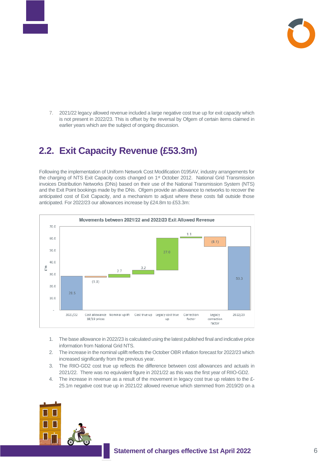

7. 2021/22 legacy allowed revenue included a large negative cost true up for exit capacity which is not present in 2022/23. This is offset by the reversal by Ofgem of certain items claimed in earlier years which are the subject of ongoing discussion.

# **2.2. Exit Capacity Revenue (£53.3m)**

Following the implementation of Uniform Network Cost Modification 0195AV, industry arrangements for the charging of NTS Exit Capacity costs changed on 1<sup>st</sup> October 2012. National Grid Transmission invoices Distribution Networks (DNs) based on their use of the National Transmission System (NTS) and the Exit Point bookings made by the DNs. Ofgem provide an allowance to networks to recover the anticipated cost of Exit Capacity, and a mechanism to adjust where these costs fall outside those anticipated. For 2022/23 our allowances increase by £24.8m to £53.3m:



- 1. The base allowance in 2022/23 is calculated using the latest published final and indicative price information from National Grid NTS.
- 2. The increase in the nominal uplift reflects the October OBR inflation forecast for 2022/23 which increased significantly from the previous year.
- 3. The RIIO-GD2 cost true up reflects the difference between cost allowances and actuals in 2021/22. There was no equivalent figure in 2021/22 as this was the first year of RIIO-GD2.
- 4. The increase in revenue as a result of the movement in legacy cost true up relates to the £- 25.1m negative cost true up in 2021/22 allowed revenue which stemmed from 2019/20 on a

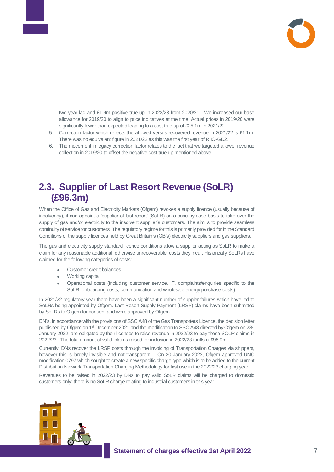

two-year lag and £1.9m positive true up in 2022/23 from 2020/21. We increased our base allowance for 2019/20 to align to price indicatives at the time. Actual prices in 2019/20 were significantly lower than expected leading to a cost true up of £25.1m in 2021/22.

- 5. Correction factor which reflects the allowed versus recovered revenue in 2021/22 is £1.1m. There was no equivalent figure in 2021/22 as this was the first year of RIIO-GD2.
- 6. The movement in legacy correction factor relates to the fact that we targeted a lower revenue collection in 2019/20 to offset the negative cost true up mentioned above.

# **2.3. Supplier of Last Resort Revenue (SoLR) (£96.3m)**

When the Office of Gas and Electricity Markets (Ofgem) revokes a supply licence (usually because of insolvency), it can appoint a 'supplier of last resort' (SoLR) on a case-by-case basis to take over the supply of gas and/or electricity to the insolvent supplier's customers. The aim is to provide seamless continuity of service for customers. The regulatory regime for this is primarily provided for in the Standard Conditions of the supply licences held by Great Britain's (GB's) electricity suppliers and gas suppliers.

The gas and electricity supply standard licence conditions allow a supplier acting as SoLR to make a claim for any reasonable additional, otherwise unrecoverable, costs they incur. Historically SoLRs have claimed for the following categories of costs:

- Customer credit balances
- Working capital
- Operational costs (including customer service, IT, complaints/enquiries specific to the SoLR, onboarding costs, communication and wholesale energy purchase costs)

In 2021/22 regulatory year there have been a significant number of suppler failures which have led to SoLRs being appointed by Ofgem. Last Resort Supply Payment (LRSP) claims have been submitted by SoLRs to Ofgem for consent and were approved by Ofgem.

DN's, in accordance with the provisions of SSC A48 of the Gas Transporters Licence, the decision letter published by Ofgem on 1<sup>st</sup> December 2021 and the modification to SSC A48 directed by Ofgem on 28<sup>th</sup> January 2022, are obligated by their licenses to raise revenue in 2022/23 to pay these SOLR claims in 2022/23. The total amount of valid claims raised for inclusion in 2022/23 tariffs is £95.9m.

Currently, DNs recover the LRSP costs through the invoicing of Transportation Charges via shippers, however this is largely invisible and not transparent. On 20 January 2022, Ofgem approved UNC modification 0797 which sought to create a new specific charge type which is to be added to the current Distribution Network Transportation Charging Methodology for first use in the 2022/23 charging year.

Revenues to be raised in 2022/23 by DNs to pay valid SoLR claims will be charged to domestic customers only; there is no SoLR charge relating to industrial customers in this year

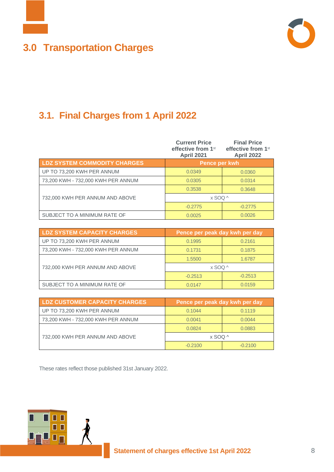

# <span id="page-7-0"></span>**3.0 Transportation Charges**



# **3.1. Final Charges from 1 April 2022**

|                                     | <b>Current Price</b><br>effective from 1 <sup>st</sup><br><b>April 2021</b> | <b>Final Price</b><br>effective from 1st<br><b>April 2022</b> |
|-------------------------------------|-----------------------------------------------------------------------------|---------------------------------------------------------------|
| <b>LDZ SYSTEM COMMODITY CHARGES</b> | Pence per kwh                                                               |                                                               |
| UP TO 73,200 KWH PER ANNUM          | 0.0349                                                                      | 0.0360                                                        |
| 73,200 KWH - 732,000 KWH PER ANNUM  | 0.0305                                                                      | 0.0314                                                        |
|                                     | 0.3538                                                                      | 0.3648                                                        |
| 732,000 KWH PER ANNUM AND ABOVE     | $x$ SOQ $\wedge$                                                            |                                                               |
|                                     | $-0.2775$                                                                   | $-0.2775$                                                     |
| SUBJECT TO A MINIMUM RATE OF        | 0.0025                                                                      | 0.0026                                                        |

| <b>LDZ SYSTEM CAPACITY CHARGES</b> | Pence per peak day kwh per day |           |
|------------------------------------|--------------------------------|-----------|
| UP TO 73,200 KWH PER ANNUM         | 0.1995                         | 0.2161    |
| 73,200 KWH - 732,000 KWH PER ANNUM | 0.1731                         | 0.1875    |
|                                    | 1.5500                         | 1.6787    |
| 732,000 KWH PER ANNUM AND ABOVE    | $x$ SOQ $\wedge$               |           |
|                                    | $-0.2513$                      | $-0.2513$ |
| SUBJECT TO A MINIMUM RATE OF       | 0.0147                         | 0.0159    |

| <b>LDZ CUSTOMER CAPACITY CHARGES</b> | Pence per peak day kwh per day |           |
|--------------------------------------|--------------------------------|-----------|
| UP TO 73,200 KWH PER ANNUM           | 0.1044                         | 0.1119    |
| 73,200 KWH - 732,000 KWH PER ANNUM   | 0.0041                         | 0.0044    |
|                                      | 0.0824                         | 0.0883    |
| 732,000 KWH PER ANNUM AND ABOVE      | x SOQ ^                        |           |
|                                      | $-0.2100$                      | $-0.2100$ |

These rates reflect those published 31st January 2022.

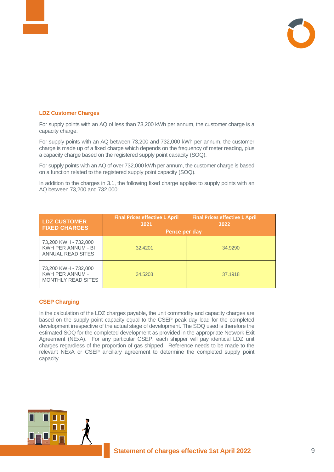

### **LDZ Customer Charges**

For supply points with an AQ of less than 73,200 kWh per annum, the customer charge is a capacity charge.

For supply points with an AQ between 73,200 and 732,000 kWh per annum, the customer charge is made up of a fixed charge which depends on the frequency of meter reading, plus a capacity charge based on the registered supply point capacity (SOQ).

For supply points with an AQ of over 732,000 kWh per annum, the customer charge is based on a function related to the registered supply point capacity (SOQ).

In addition to the charges in 3.1, the following fixed charge applies to supply points with an AQ between 73,200 and 732,000:

| <b>LDZ CUSTOMER</b><br><b>FIXED CHARGES</b>                          | <b>Final Prices effective 1 April</b><br>2021<br>Pence per day | <b>Final Prices effective 1 April</b><br>2022 |
|----------------------------------------------------------------------|----------------------------------------------------------------|-----------------------------------------------|
| 73,200 KWH - 732,000<br>KWH PER ANNUM - BI<br>ANNUAL READ SITES      | 32.4201                                                        | 34.9290                                       |
| 73,200 KWH - 732,000<br>KWH PER ANNUM -<br><b>MONTHLY READ SITES</b> | 34.5203                                                        | 37.1918                                       |

### **CSEP Charging**

П  $\blacksquare$ 

In the calculation of the LDZ charges payable, the unit commodity and capacity charges are based on the supply point capacity equal to the CSEP peak day load for the completed development irrespective of the actual stage of development. The SOQ used is therefore the estimated SOQ for the completed development as provided in the appropriate Network Exit Agreement (NExA). For any particular CSEP, each shipper will pay identical LDZ unit charges regardless of the proportion of gas shipped. Reference needs to be made to the relevant NExA or CSEP ancillary agreement to determine the completed supply point capacity.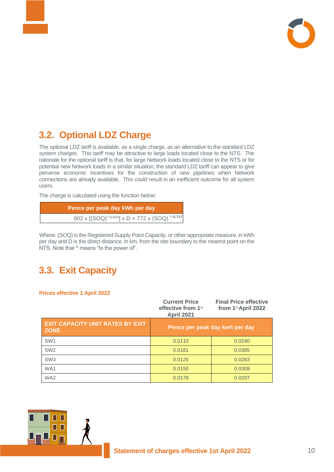# **3.2. Optional LDZ Charge**

The optional LDZ tariff is available, as a single charge, as an alternative to the standard LDZ system charges. This tariff may be attractive to large loads located close to the NTS. The rationale for the optional tariff is that, for large Network loads located close to the NTS or for potential new Network loads in a similar situation, the standard LDZ tariff can appear to give perverse economic incentives for the construction of new pipelines when Network connections are already available. This could result in an inefficient outcome for all system users.

The charge is calculated using the function below:

| Pence per peak day kWh per day                 |
|------------------------------------------------|
| 902 x [(SOQ)^-0.834] x D + 772 x (SOQ) ^-0.717 |

Where: (SOQ) is the Registered Supply Point Capacity, or other appropriate measure, in kWh per day and D is the direct distance, in km, from the site boundary to the nearest point on the NTS. Note that  $\wedge$  means "to the power of".

# **3.3. Exit Capacity**

**Prices effective 1 April 2022**

|                                                        | <b>Current Price</b><br>effective from 1 <sup>st</sup><br><b>April 2021</b> | <b>Final Price effective</b><br>from $1st$ April 2022 |
|--------------------------------------------------------|-----------------------------------------------------------------------------|-------------------------------------------------------|
| <b>EXIT CAPACITY UNIT RATES BY EXIT</b><br><b>ZONE</b> |                                                                             | Pence per peak day kwh per day                        |
| SW <sub>1</sub>                                        | 0.0110                                                                      | 0.0240                                                |
| SW <sub>2</sub>                                        | 0.0181                                                                      | 0.0385                                                |
| SW <sub>3</sub>                                        | 0.0125                                                                      | 0.0263                                                |
| WA <sub>1</sub>                                        | 0.0150                                                                      | 0.0309                                                |
| WA <sub>2</sub>                                        | 0.0178                                                                      | 0.0297                                                |

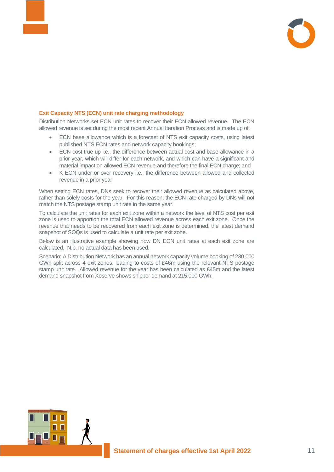

### **Exit Capacity NTS (ECN) unit rate charging methodology**

Distribution Networks set ECN unit rates to recover their ECN allowed revenue. The ECN allowed revenue is set during the most recent Annual Iteration Process and is made up of:

- ECN base allowance which is a forecast of NTS exit capacity costs, using latest published NTS ECN rates and network capacity bookings;
- ECN cost true up i.e., the difference between actual cost and base allowance in a prior year, which will differ for each network, and which can have a significant and material impact on allowed ECN revenue and therefore the final ECN charge; and
- K ECN under or over recovery i.e., the difference between allowed and collected revenue in a prior year

When setting ECN rates, DNs seek to recover their allowed revenue as calculated above, rather than solely costs for the year. For this reason, the ECN rate charged by DNs will not match the NTS postage stamp unit rate in the same year.

To calculate the unit rates for each exit zone within a network the level of NTS cost per exit zone is used to apportion the total ECN allowed revenue across each exit zone. Once the revenue that needs to be recovered from each exit zone is determined, the latest demand snapshot of SOQs is used to calculate a unit rate per exit zone.

Below is an illustrative example showing how DN ECN unit rates at each exit zone are calculated. N.b. no actual data has been used.

Scenario: A Distribution Network has an annual network capacity volume booking of 230,000 GWh split across 4 exit zones, leading to costs of £46m using the relevant NTS postage stamp unit rate. Allowed revenue for the year has been calculated as £45m and the latest demand snapshot from Xoserve shows shipper demand at 215,000 GWh.

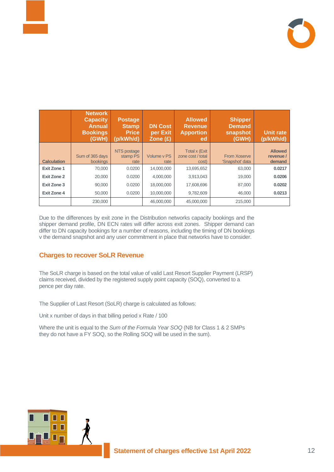

|                    | <b>Network</b><br><b>Capacity</b><br>Annual<br><b>Bookings</b><br>(GWH) | <b>Postage</b><br><b>Stamp</b><br>Price.<br>(p/kWh/d) | <b>DN Cost</b><br>per Exit<br>Zone $(E)$ | <b>Allowed</b><br><b>Revenue</b><br><b>Apportion</b><br>ed | <b>Shipper</b><br><b>Demand</b><br>snapshot<br>(GWH) | Unit rate<br>(p/kWh/d)               |
|--------------------|-------------------------------------------------------------------------|-------------------------------------------------------|------------------------------------------|------------------------------------------------------------|------------------------------------------------------|--------------------------------------|
| <b>Calculation</b> | Sum of 365 days<br><b>bookings</b>                                      | NTS postage<br>stamp PS<br>rate                       | Volume v PS<br>rate                      | <b>Total x (Exit)</b><br>zone cost / total<br>cost)        | From Xoserve<br>'Snapshot' data                      | <b>Allowed</b><br>revenue/<br>demand |
| Exit Zone 1        | 70,000                                                                  | 0.0200                                                | 14,000,000                               | 13,695,652                                                 | 63,000                                               | 0.0217                               |
| <b>Exit Zone 2</b> | 20,000                                                                  | 0.0200                                                | 4,000,000                                | 3,913,043                                                  | 19,000                                               | 0.0206                               |
| Exit Zone 3        | 90,000                                                                  | 0.0200                                                | 18,000,000                               | 17,608,696                                                 | 87,000                                               | 0.0202                               |
| <b>Exit Zone 4</b> | 50,000                                                                  | 0.0200                                                | 10,000,000                               | 9,782,609                                                  | 46,000                                               | 0.0213                               |
|                    | 230,000                                                                 |                                                       | 46,000,000                               | 45,000,000                                                 | 215,000                                              |                                      |

Due to the differences by exit zone in the Distribution networks capacity bookings and the shipper demand profile, DN ECN rates will differ across exit zones. Shipper demand can differ to DN capacity bookings for a number of reasons, including the timing of DN bookings v the demand snapshot and any user commitment in place that networks have to consider.

### **Charges to recover SoLR Revenue**

The SoLR charge is based on the total value of valid Last Resort Supplier Payment (LRSP) claims received, divided by the registered supply point capacity (SOQ), converted to a pence per day rate.

The Supplier of Last Resort (SoLR) charge is calculated as follows:

Unit x number of days in that billing period x Rate / 100

Where the unit is equal to the *Sum of the Formula Year SOQ* (NB for Class 1 & 2 SMPs they do not have a FY SOQ, so the Rolling SOQ will be used in the sum).

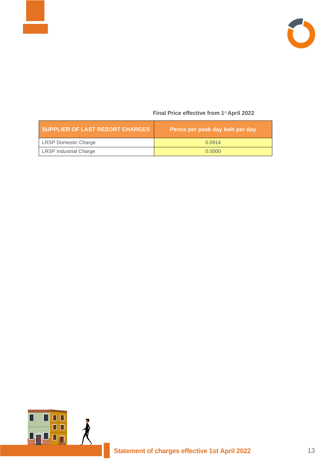



### **Final Price effective from 1**st **April 2022**

| SUPPLIER OF LAST RESORT CHARGES | Pence per peak day kwh per day |
|---------------------------------|--------------------------------|
| <b>LRSP Domestic Charge</b>     | 0.0914                         |
| <b>LRSP Industrial Charge</b>   | 0.0000                         |

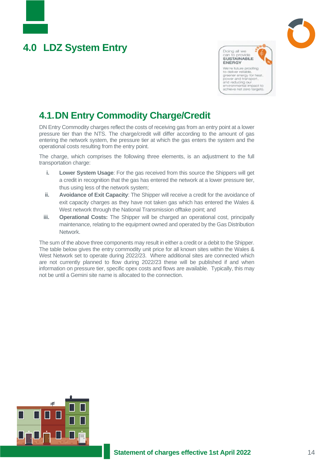# <span id="page-13-0"></span>**4.0 LDZ System Entry**



# **4.1.DN Entry Commodity Charge/Credit**

DN Entry Commodity charges reflect the costs of receiving gas from an entry point at a lower pressure tier than the NTS. The charge/credit will differ according to the amount of gas entering the network system, the pressure tier at which the gas enters the system and the operational costs resulting from the entry point.

The charge, which comprises the following three elements, is an adjustment to the full transportation charge:

- **i. Lower System Usage**: For the gas received from this source the Shippers will get a credit in recognition that the gas has entered the network at a lower pressure tier, thus using less of the network system;
- **ii. Avoidance of Exit Capacity**: The Shipper will receive a credit for the avoidance of exit capacity charges as they have not taken gas which has entered the Wales & West network through the National Transmission offtake point; and
- **iii. Operational Costs:** The Shipper will be charged an operational cost, principally maintenance, relating to the equipment owned and operated by the Gas Distribution Network.

The sum of the above three components may result in either a credit or a debit to the Shipper. The table below gives the entry commodity unit price for all known sites within the Wales & West Network set to operate during 2022/23. Where additional sites are connected which are not currently planned to flow during 2022/23 these will be published if and when information on pressure tier, specific opex costs and flows are available. Typically, this may not be until a Gemini site name is allocated to the connection.

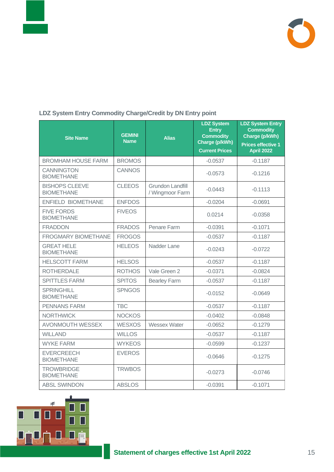



### **LDZ System Entry Commodity Charge/Credit by DN Entry point**

| <b>Site Name</b>                           | <b>GEMINI</b><br><b>Name</b> | <b>Alias</b>                               | <b>LDZ System</b><br><b>Entry</b><br><b>Commodity</b><br>Charge (p/kWh)<br><b>Current Prices</b> | <b>LDZ System Entry</b><br><b>Commodity</b><br>Charge (p/kWh)<br>Prices effective 1<br><b>April 2022</b> |
|--------------------------------------------|------------------------------|--------------------------------------------|--------------------------------------------------------------------------------------------------|----------------------------------------------------------------------------------------------------------|
| <b>BROMHAM HOUSE FARM</b>                  | <b>BROMOS</b>                |                                            | $-0.0537$                                                                                        | $-0.1187$                                                                                                |
| <b>CANNINGTON</b><br><b>BIOMETHANE</b>     | <b>CANNOS</b>                |                                            | $-0.0573$                                                                                        | $-0.1216$                                                                                                |
| <b>BISHOPS CLEEVE</b><br><b>BIOMETHANE</b> | <b>CLEEOS</b>                | <b>Grundon Landfill</b><br>/ Wingmoor Farm | $-0.0443$                                                                                        | $-0.1113$                                                                                                |
| ENFIELD BIOMETHANE                         | <b>ENFDOS</b>                |                                            | $-0.0204$                                                                                        | $-0.0691$                                                                                                |
| <b>FIVE FORDS</b><br><b>BIOMETHANE</b>     | <b>FIVEOS</b>                |                                            | 0.0214                                                                                           | $-0.0358$                                                                                                |
| <b>FRADDON</b>                             | <b>FRADOS</b>                | Penare Farm                                | $-0.0391$                                                                                        | $-0.1071$                                                                                                |
| <b>FROGMARY BIOMETHANE</b>                 | <b>FROGOS</b>                |                                            | $-0.0537$                                                                                        | $-0.1187$                                                                                                |
| <b>GREAT HELE</b><br><b>BIOMETHANE</b>     | <b>HELEOS</b>                | Nadder Lane                                | $-0.0243$                                                                                        | $-0.0722$                                                                                                |
| <b>HELSCOTT FARM</b>                       | <b>HELSOS</b>                |                                            | $-0.0537$                                                                                        | $-0.1187$                                                                                                |
| <b>ROTHERDALE</b>                          | <b>ROTHOS</b>                | Vale Green 2                               | $-0.0371$                                                                                        | $-0.0824$                                                                                                |
| <b>SPITTLES FARM</b>                       | <b>SPITOS</b>                | <b>Bearley Farm</b>                        | $-0.0537$                                                                                        | $-0.1187$                                                                                                |
| <b>SPRINGHILL</b><br><b>BIOMETHANE</b>     | <b>SPNGOS</b>                |                                            | $-0.0152$                                                                                        | $-0.0649$                                                                                                |
| <b>PENNANS FARM</b>                        | <b>TBC</b>                   |                                            | $-0.0537$                                                                                        | $-0.1187$                                                                                                |
| <b>NORTHWICK</b>                           | <b>NOCKOS</b>                |                                            | $-0.0402$                                                                                        | $-0.0848$                                                                                                |
| <b>AVONMOUTH WESSEX</b>                    | <b>WESXOS</b>                | Wessex Water                               | $-0.0652$                                                                                        | $-0.1279$                                                                                                |
| <b>WILLAND</b>                             | <b>WILLOS</b>                |                                            | $-0.0537$                                                                                        | $-0.1187$                                                                                                |
| <b>WYKE FARM</b>                           | <b>WYKEOS</b>                |                                            | $-0.0599$                                                                                        | $-0.1237$                                                                                                |
| <b>EVERCREECH</b><br><b>BIOMETHANE</b>     | <b>EVEROS</b>                |                                            | $-0.0646$                                                                                        | $-0.1275$                                                                                                |
| <b>TROWBRIDGE</b><br><b>BIOMETHANE</b>     | <b>TRWBOS</b>                |                                            | $-0.0273$                                                                                        | $-0.0746$                                                                                                |
| <b>ABSL SWINDON</b>                        | <b>ABSLOS</b>                |                                            | $-0.0391$                                                                                        | $-0.1071$                                                                                                |

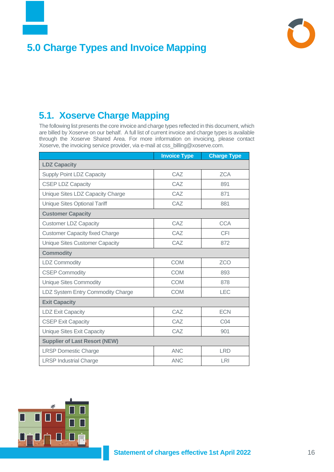# <span id="page-15-0"></span>**5.0 Charge Types and Invoice Mapping**



# **5.1. Xoserve Charge Mapping**

The following list presents the core invoice and charge types reflected in this document, which are billed by Xoserve on our behalf. A full list of current invoice and charge types is available through the Xoserve Shared Area. For more information on invoicing, please contact Xoserve, the invoicing service provider, via e-mail at css\_billing@xoserve.com.

|                                       | <b>Invoice Type</b> | <b>Charge Type</b> |
|---------------------------------------|---------------------|--------------------|
| <b>LDZ Capacity</b>                   |                     |                    |
| <b>Supply Point LDZ Capacity</b>      | CAZ                 | <b>ZCA</b>         |
| <b>CSEP LDZ Capacity</b>              | CAZ                 | 891                |
| Unique Sites LDZ Capacity Charge      | CAZ                 | 871                |
| <b>Unique Sites Optional Tariff</b>   | CAZ                 | 881                |
| <b>Customer Capacity</b>              |                     |                    |
| <b>Customer LDZ Capacity</b>          | CAZ                 | <b>CCA</b>         |
| <b>Customer Capacity fixed Charge</b> | CAZ                 | <b>CFI</b>         |
| <b>Unique Sites Customer Capacity</b> | CAZ                 | 872                |
| <b>Commodity</b>                      |                     |                    |
| <b>LDZ Commodity</b>                  | <b>COM</b>          | <b>ZCO</b>         |
| <b>CSEP Commodity</b>                 | <b>COM</b>          | 893                |
| <b>Unique Sites Commodity</b>         | <b>COM</b>          | 878                |
| LDZ System Entry Commodity Charge     | <b>COM</b>          | <b>LEC</b>         |
| <b>Exit Capacity</b>                  |                     |                    |
| <b>LDZ Exit Capacity</b>              | CAZ                 | <b>ECN</b>         |
| <b>CSEP Exit Capacity</b>             | CAZ                 | CO <sub>4</sub>    |
| <b>Unique Sites Exit Capacity</b>     | CAZ                 | 901                |
| <b>Supplier of Last Resort (NEW)</b>  |                     |                    |
| <b>LRSP Domestic Charge</b>           | <b>ANC</b>          | <b>LRD</b>         |
| <b>LRSP Industrial Charge</b>         | <b>ANC</b>          | LRI                |

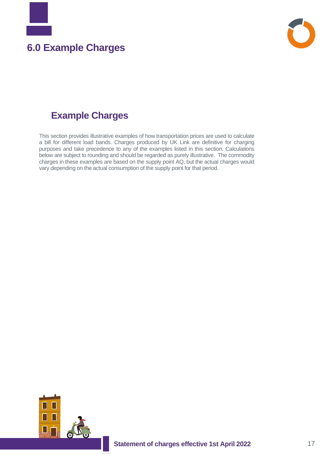<span id="page-16-0"></span>



# **6.1. Example Charges**

This section provides illustrative examples of how transportation prices are used to calculate a bill for different load bands. Charges produced by UK Link are definitive for charging purposes and take precedence to any of the examples listed in this section. Calculations below are subject to rounding and should be regarded as purely illustrative. The commodity charges in these examples are based on the supply point AQ, but the actual charges would vary depending on the actual consumption of the supply point for that period.

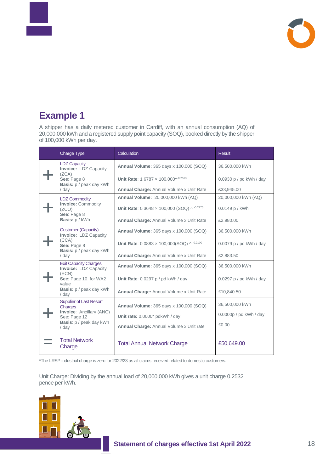

# **Example 1**

A shipper has a daily metered customer in Cardiff, with an annual consumption (AQ) of 20,000,000 kWh and a registered supply point capacity (SOQ), booked directly by the shipper of 100,000 kWh per day.

|                                        | Charge Type                                                           | Calculation                                     | Result                  |  |
|----------------------------------------|-----------------------------------------------------------------------|-------------------------------------------------|-------------------------|--|
|                                        | <b>LDZ Capacity</b><br><b>Invoice: LDZ Capacity</b><br>(ZCA)          | <b>Annual Volume: 365 days x 100,000 (SOQ)</b>  | 36,500,000 kWh          |  |
| See: Page 8<br>Basis: p / peak day kWh |                                                                       | Unit Rate: 1.6787 x 100,000^-0.2513             | 0.0930 p / pd kWh / day |  |
|                                        | $/$ dav                                                               | <b>Annual Charge: Annual Volume x Unit Rate</b> | £33.945.00              |  |
|                                        | <b>LDZ Commodity</b>                                                  | Annual Volume: 20,000,000 kWh (AQ)              | 20,000,000 kWh (AQ)     |  |
|                                        | <b>Invoice: Commodity</b><br>(ZCO)<br>See: Page 8                     | Unit Rate: 0.3648 x 100,000 (SOQ) ^ -0.2775     | 0.0149 p / kWh          |  |
|                                        | Basis: p / kWh                                                        | Annual Charge: Annual Volume x Unit Rate        | £2,980.00               |  |
|                                        | <b>Customer (Capacity)</b><br><b>Invoice: LDZ Capacity</b>            | Annual Volume: 365 days x 100,000 (SOQ)         | 36,500,000 kWh          |  |
|                                        | (CCA)<br>See: Page 8<br>Basis: p / peak day kWh                       | Unit Rate: 0.0883 x 100,000(SOQ) ^ -0.2100      | 0.0079 p / pd kWh / day |  |
| $/$ dav                                |                                                                       | Annual Charge: Annual Volume x Unit Rate        | £2,883.50               |  |
|                                        | <b>Exit Capacity Charges</b><br><b>Invoice: LDZ Capacity</b><br>(ECN) | Annual Volume: 365 days x 100,000 (SOQ)         | 36,500,000 kWh          |  |
|                                        | See: Page 10, for WA2<br>value                                        | Unit Rate: 0.0297 p / pd kWh / day              | 0.0297 p / pd kWh / day |  |
| Basis: p / peak day kWh<br>/ day       |                                                                       | Annual Charge: Annual Volume x Unit Rate        | £10,840.50              |  |
|                                        | Supplier of Last Resort<br>Charges                                    | Annual Volume: 365 days x 100,000 (SOQ)         | 36,500,000 kWh          |  |
|                                        | <b>Invoice: Ancillary (ANC)</b><br>See: Page 12                       | Unit rate: 0.0000* pdkWh / day                  | 0.0000p / pd kWh / day  |  |
| / day                                  | Basis: p / peak day kWh                                               | Annual Charge: Annual Volume x Unit rate        | £0.00                   |  |
|                                        | <b>Total Network</b><br>Charge                                        | <b>Total Annual Network Charge</b>              | £50,649.00              |  |

\*The LRSP industrial charge is zero for 2022/23 as all claims received related to domestic customers.

Unit Charge: Dividing by the annual load of 20,000,000 kWh gives a unit charge 0.2532 pence per kWh.

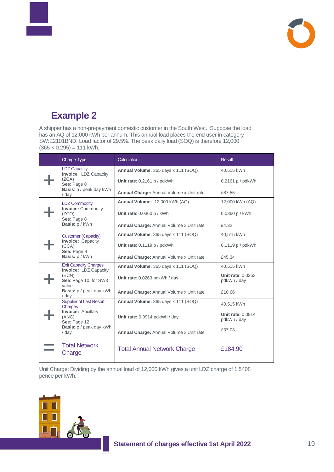

# **6.2. Example 2**

A shipper has a non-prepayment domestic customer in the South West. Suppose the load has an AQ of 12,000 kWh per annum. This annual load places the end user in category SW:E2101BND. Load factor of 29.5%. The peak daily load (SOQ) is therefore 12,000 ÷  $(365 \times 0.295) = 111$  kWh.

|                                                 | <b>Charge Type</b>                                                 | <b>Calculation</b>                                                        | <b>Result</b>                    |
|-------------------------------------------------|--------------------------------------------------------------------|---------------------------------------------------------------------------|----------------------------------|
|                                                 | <b>LDZ Capacity</b><br><b>Invoice: LDZ Capacity</b><br>(ZCA)       | Annual Volume: 365 days x 111 (SOQ)                                       | 40,515 kWh                       |
| See: Page 8<br>Basis: p / peak day kWh<br>/ day |                                                                    | Unit rate: $0.2161$ p / pdkWh<br>Annual Charge: Annual Volume x Unit rate | $0.2161$ p / pdkWh<br>£87.55     |
|                                                 | <b>LDZ Commodity</b>                                               | Annual Volume: 12,000 kWh (AQ)                                            | 12,000 kWh (AQ)                  |
|                                                 | <b>Invoice: Commodity</b><br>(ZCO)<br>See: Page 8                  | <b>Unit rate: 0.0360 p / kWh</b>                                          | 0.0360 p / kWh                   |
|                                                 | Basis: p / kWh                                                     | Annual Charge: Annual Volume x Unit rate                                  | £4.32                            |
|                                                 | <b>Customer (Capacity)</b>                                         | Annual Volume: 365 days x 111 (SOQ)                                       | 40,515 kWh                       |
|                                                 | <b>Invoice: Capacity</b><br>(CCA)<br>See: Page 8<br>Basis: p / kWh | Unit rate: 0.1119 p / pdkWh                                               | $0.1119$ p / pdkWh               |
|                                                 |                                                                    | <b>Annual Charge: Annual Volume x Unit rate</b>                           | £45.34                           |
|                                                 | <b>Exit Capacity Charges</b><br><b>Invoice: LDZ Capacity</b>       | Annual Volume: 365 days x 111 (SOQ)                                       | 40,515 kWh                       |
|                                                 | (ECN)<br>See: Page 10, for SW3<br>value                            | Unit rate: 0.0263 pdkWh / day                                             | Unit rate: 0.0263<br>pdkWh / day |
|                                                 | Basis: p / peak day kWh<br>/ day                                   | Annual Charge: Annual Volume x Unit rate                                  | £10.66                           |
|                                                 | <b>Supplier of Last Resort</b><br>Charges                          | Annual Volume: 365 days x 111 (SOQ)                                       | 40,515 kWh                       |
|                                                 | <b>Invoice: Ancillary</b><br>(ANC)<br>See: Page 12                 | Unit rate: 0.0914 pdkWh / day                                             | Unit rate: 0.0914<br>pdkWh / day |
|                                                 | Basis: p / peak day kWh<br>/ day                                   | Annual Charge: Annual Volume x Unit rate                                  | £37.03                           |
|                                                 | <b>Total Network</b><br>Charge                                     | <b>Total Annual Network Charge</b>                                        | £184.90                          |

Unit Charge: Dividing by the annual load of 12,000 kWh gives a unit LDZ charge of 1.5408 pence per kWh.

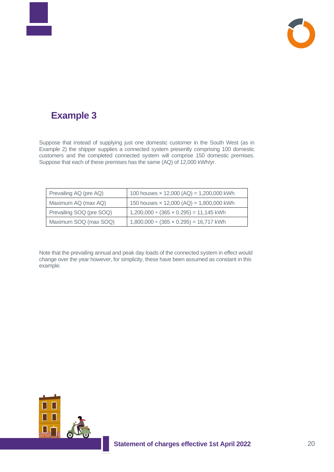



# **6.3. Example 3**

Suppose that instead of supplying just one domestic customer in the South West (as in Example 2) the shipper supplies a connected system presently comprising 100 domestic customers and the completed connected system will comprise 150 domestic premises. Suppose that each of these premises has the same (AQ) of 12,000 kWh/yr.

| Prevailing AQ (pre AQ)   | 100 houses $\times$ 12,000 (AQ) = 1,200,000 kWh  |
|--------------------------|--------------------------------------------------|
| Maximum AQ (max AQ)      | 150 houses $\times$ 12,000 (AQ) = 1,800,000 kWh  |
| Prevailing SOQ (pre SOQ) | $1,200,000 \div (365 \times 0.295) = 11,145$ kWh |
| Maximum SOQ (max SOQ)    | $1,800,000 \div (365 \times 0.295) = 16,717$ kWh |

Note that the prevailing annual and peak day loads of the connected system in effect would change over the year however, for simplicity, these have been assumed as constant in this example.

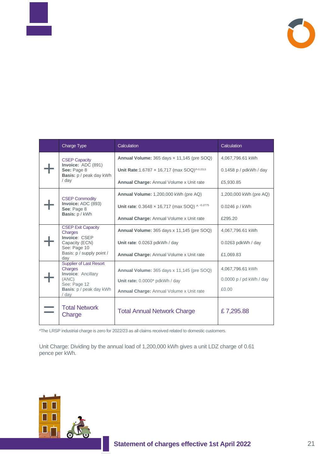



|                                                     | Charge Type                                                                          | Calculation                                                       | Calculation              |
|-----------------------------------------------------|--------------------------------------------------------------------------------------|-------------------------------------------------------------------|--------------------------|
|                                                     | <b>CSEP Capacity</b>                                                                 | Annual Volume: $365 \text{ days} \times 11,145 \text{ (pre SOQ)}$ | 4.067.796.61 kWh         |
|                                                     | Invoice: ADC (891)<br>See: Page 8<br><b>Basis:</b> p / peak day kWh                  | Unit Rate: 1.6787 x 16,717 (max SOQ)^0.2513                       | $0.1458$ p / pdkWh / day |
|                                                     | $/$ day                                                                              | <b>Annual Charge: Annual Volume x Unit rate</b>                   | £5,930.85                |
|                                                     | <b>CSEP Commodity</b>                                                                | Annual Volume: 1,200,000 kWh (pre AQ)                             | 1,200,000 kWh (pre AQ)   |
| Invoice: ADC (893)<br>See: Page 8<br>Basis: p / kWh |                                                                                      | Unit rate: $0.3648 \times 16,717$ (max SOQ) ^ $-0.2775$           | 0.0246 p / kWh           |
|                                                     | Annual Charge: Annual Volume x Unit rate                                             | £295.20                                                           |                          |
| <b>CSEP Exit Capacity</b><br>Charges                |                                                                                      | Annual Volume: 365 days x 11,145 (pre SOQ)                        | 4,067,796.61 kWh         |
|                                                     | Invoice: CSEP<br>Capacity (ECN)<br>See: Page 10<br>Basis: p / supply point /<br>day  | Unit rate: 0.0263 pdkWh / day                                     | 0.0263 pdkWh / day       |
|                                                     |                                                                                      | <b>Annual Charge: Annual Volume x Unit rate</b>                   | £1,069.83                |
|                                                     | <b>Supplier of Last Resort</b><br>Charges                                            | Annual Volume: 365 days x 11,145 (pre SOQ)                        | 4,067,796.61 kWh         |
|                                                     | <b>Invoice: Ancillary</b><br>(ANC)<br>See: Page 12<br>Basis: p / peak day kWh<br>day | Unit rate: 0.0000* pdkWh / day                                    | 0.0000 p / pd kWh / day  |
|                                                     |                                                                                      | Annual Charge: Annual Volume x Unit rate                          | £0.00                    |
|                                                     | <b>Total Network</b><br>Charge                                                       | <b>Total Annual Network Charge</b>                                | £7,295.88                |

\*The LRSP industrial charge is zero for 2022/23 as all claims received related to domestic customers.

Unit Charge: Dividing by the annual load of 1,200,000 kWh gives a unit LDZ charge of 0.61 pence per kWh.

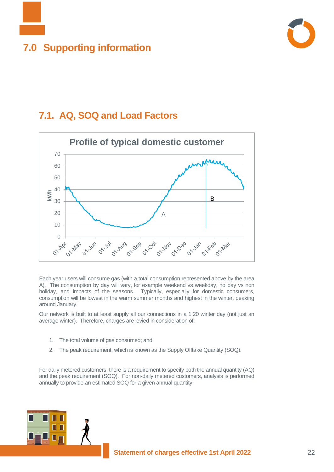<span id="page-21-0"></span>



# **7.1. AQ, SOQ and Load Factors**



Each year users will consume gas (with a total consumption represented above by the area A). The consumption by day will vary, for example weekend vs weekday, holiday vs non holiday, and impacts of the seasons. Typically, especially for domestic consumers, consumption will be lowest in the warm summer months and highest in the winter, peaking around January.

Our network is built to at least supply all our connections in a 1:20 winter day (not just an average winter). Therefore, charges are levied in consideration of:

- 1. The total volume of gas consumed; and
- 2. The peak requirement, which is known as the Supply Offtake Quantity (SOQ).

For daily metered customers, there is a requirement to specify both the annual quantity (AQ) and the peak requirement (SOQ). For non-daily metered customers, analysis is performed annually to provide an estimated SOQ for a given annual quantity.

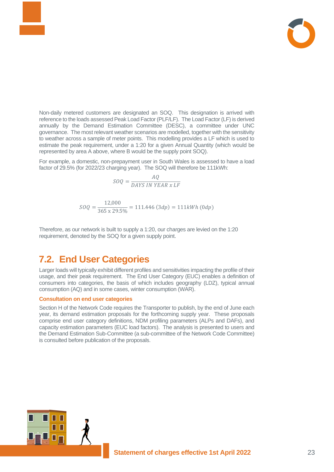



Non-daily metered customers are designated an SOQ. This designation is arrived with reference to the loads assessed Peak Load Factor (PLF/LF). The Load Factor (LF) is derived annually by the Demand Estimation Committee (DESC), a committee under UNC governance. The most relevant weather scenarios are modelled, together with the sensitivity to weather across a sample of meter points. This modelling provides a LF which is used to estimate the peak requirement, under a 1:20 for a given Annual Quantity (which would be represented by area A above, where B would be the supply point SOQ).

For example, a domestic, non-prepayment user in South Wales is assessed to have a load factor of 29.5% (for 2022/23 charging year). The SOQ will therefore be 111kWh:

$$
SOQ = \frac{AQ}{DAYS \; IN \; YEAR \; x \; LF}
$$

$$
SOQ = \frac{12,000}{365 \times 29.5\%} = 111.446 \ (3dp) = 111kWh \ (0dp)
$$

Therefore, as our network is built to supply a 1:20, our charges are levied on the 1:20 requirement, denoted by the SOQ for a given supply point.

# **7.2. End User Categories**

Larger loads will typically exhibit different profiles and sensitivities impacting the profile of their usage, and their peak requirement. The End User Category (EUC) enables a definition of consumers into categories, the basis of which includes geography (LDZ), typical annual consumption (AQ) and in some cases, winter consumption (WAR).

### **Consultation on end user categories**

Section H of the Network Code requires the Transporter to publish, by the end of June each year, its demand estimation proposals for the forthcoming supply year. These proposals comprise end user category definitions, NDM profiling parameters (ALPs and DAFs), and capacity estimation parameters (EUC load factors). The analysis is presented to users and the Demand Estimation Sub-Committee (a sub-committee of the Network Code Committee) is consulted before publication of the proposals.

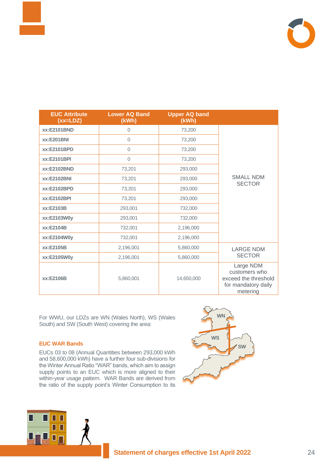

| <b>EUC Attribute</b><br>$(xx = LDZ)$ | <b>Lower AQ Band</b><br>(kWh) | <b>Upper AQ band</b><br>(kWh) |                                                                                       |
|--------------------------------------|-------------------------------|-------------------------------|---------------------------------------------------------------------------------------|
| xx:E2101BND                          | 0                             | 73,200                        |                                                                                       |
| <b>xx:E201BNI</b>                    | 0                             | 73,200                        |                                                                                       |
| xx:E2101BPD                          | 0                             | 73,200                        |                                                                                       |
| xx:E2101BPI                          | 0                             | 73,200                        |                                                                                       |
| xx:E2102BND                          | 73,201                        | 293,000                       |                                                                                       |
| <b>xx:E2102BNI</b>                   | 73,201                        | 293,000                       | <b>SMALL NDM</b><br><b>SECTOR</b>                                                     |
| xx:E2102BPD                          | 73,201                        | 293,000                       |                                                                                       |
| xx:E2102BPI                          | 73,201                        | 293,000                       |                                                                                       |
| xx:E2103B                            | 293,001                       | 732,000                       |                                                                                       |
| xx:E2103W0y                          | 293,001                       | 732,000                       |                                                                                       |
| xx:E2104B                            | 732,001                       | 2,196,000                     |                                                                                       |
| xx:E2104W0y                          | 732,001                       | 2,196,000                     |                                                                                       |
| xx:E2105B                            | 2,196,001                     | 5,860,000                     | <b>LARGE NDM</b>                                                                      |
| xx:E2105W0y                          | 2,196,001                     | 5,860,000                     | <b>SECTOR</b>                                                                         |
| xx:E2106B                            | 5,860,001                     | 14,650,000                    | Large NDM<br>customers who<br>exceed the threshold<br>for mandatory daily<br>metering |

For WWU, our LDZs are WN (Wales North), WS (Wales South) and SW (South West) covering the area:

### **EUC WAR Bands**

П ா Π  $\Box$ 

 $\Gamma_{\rm H}$ 

Ц

EUCs 03 to 08 (Annual Quantities between 293,000 kWh and 58,600,000 kWh) have a further four sub-divisions for the Winter Annual Ratio "WAR" bands, which aim to assign supply points to an EUC which is more aligned to their within-year usage pattern. WAR Bands are derived from the ratio of the supply point's Winter Consumption to its



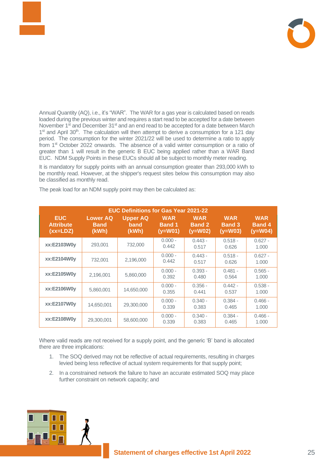

Annual Quantity (AQ), i.e., it's "WAR". The WAR for a gas year is calculated based on reads loaded during the previous winter and requires a start read to be accepted for a date between November 1<sup>st</sup> and December 31<sup>st</sup> and an end read to be accepted for a date between March 1<sup>st</sup> and April 30<sup>th</sup>. The calculation will then attempt to derive a consumption for a 121 day period. The consumption for the winter 2021/22 will be used to determine a ratio to apply from 1<sup>st</sup> October 2022 onwards. The absence of a valid winter consumption or a ratio of greater than 1 will result in the generic B EUC being applied rather than a WAR Band EUC. NDM Supply Points in these EUCs should all be subject to monthly meter reading.

It is mandatory for supply points with an annual consumption greater than 293,000 kWh to be monthly read. However, at the shipper's request sites below this consumption may also be classified as monthly read.

The peak load for an NDM supply point may then be calculated as:

| <b>EUC Definitions for Gas Year 2021-22</b>  |                                         |                                  |                                          |                                          |                                          |                                          |  |  |  |  |
|----------------------------------------------|-----------------------------------------|----------------------------------|------------------------------------------|------------------------------------------|------------------------------------------|------------------------------------------|--|--|--|--|
| <b>EUC</b><br><b>Attribute</b><br>$(xx=LDZ)$ | <b>Lower AQ</b><br><b>Band</b><br>(kWh) | <b>Upper AQ</b><br>band<br>(kWh) | <b>WAR</b><br><b>Band 1</b><br>$(y=WO1)$ | <b>WAR</b><br><b>Band 2</b><br>$(y=WO2)$ | <b>WAR</b><br><b>Band 3</b><br>$(y=W03)$ | <b>WAR</b><br><b>Band 4</b><br>$(y=WO4)$ |  |  |  |  |
| xx:E2103W0y                                  | 293,001                                 | 732,000                          | $0.000 -$<br>0.442                       | $0.443 -$<br>0.517                       | $0.518 -$<br>0.626                       | $0.627 -$<br>1.000                       |  |  |  |  |
| xx:E2104W0y                                  | 732,001                                 | 2,196,000                        | $0.000 -$<br>0.442                       | $0.443 -$<br>0.517                       | $0.518 -$<br>0.626                       | $0.627 -$<br>1.000                       |  |  |  |  |
| xx:E2105W0y                                  | 2,196,001                               | 5,860,000                        | $0.000 -$<br>0.392                       | $0.393 -$<br>0.480                       | $0.481 -$<br>0.564                       | $0.565 -$<br>1.000                       |  |  |  |  |
| xx:E2106W0y                                  | 5,860,001                               | 14,650,000                       | $0.000 -$<br>0.355                       | $0.356 -$<br>0.441                       | $0.442 -$<br>0.537                       | $0.538 -$<br>1.000                       |  |  |  |  |
| xx:E2107W0y                                  | 14,650,001                              | 29,300,000                       | $0.000 -$<br>0.339                       | $0.340 -$<br>0.383                       | $0.384 -$<br>0.465                       | $0.466 -$<br>1.000                       |  |  |  |  |
| xx:E2108W0y                                  | 29,300,001                              | 58,600,000                       | $0.000 -$<br>0.339                       | $0.340 -$<br>0.383                       | $0.384 -$<br>0.465                       | $0.466 -$<br>1.000                       |  |  |  |  |

Where valid reads are not received for a supply point, and the generic 'B' band is allocated there are three implications:

- 1. The SOQ derived may not be reflective of actual requirements, resulting in charges levied being less reflective of actual system requirements for that supply point;
- 2. In a constrained network the failure to have an accurate estimated SOQ may place further constraint on network capacity; and

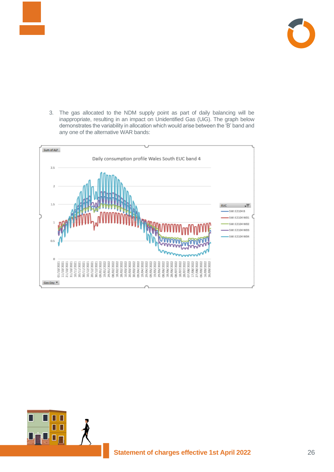



3. The gas allocated to the NDM supply point as part of daily balancing will be inappropriate, resulting in an impact on Unidentified Gas (UiG). The graph below demonstrates the variability in allocation which would arise between the 'B' band and any one of the alternative WAR bands:



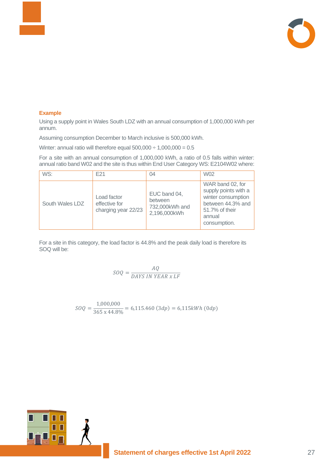

### **Example**

Using a supply point in Wales South LDZ with an annual consumption of 1,000,000 kWh per annum.

Assuming consumption December to March inclusive is 500,000 kWh.

Winter: annual ratio will therefore equal  $500,000 \div 1,000,000 = 0.5$ 

For a site with an annual consumption of 1,000,000 kWh, a ratio of 0.5 falls within winter: annual ratio band W02 and the site is thus within End User Category WS: E2104W02 where:

| WS:             | F <sub>21</sub>                                     | 04                                                        | W02                                                                                                                             |
|-----------------|-----------------------------------------------------|-----------------------------------------------------------|---------------------------------------------------------------------------------------------------------------------------------|
| South Wales LDZ | Load factor<br>effective for<br>charging year 22/23 | EUC band 04,<br>between<br>732,000kWh and<br>2,196,000kWh | WAR band 02, for<br>supply points with a<br>winter consumption<br>between 44.3% and<br>51.7% of their<br>annual<br>consumption. |

For a site in this category, the load factor is 44.8% and the peak daily load is therefore its SOQ will be:

$$
SOQ = \frac{AQ}{DAYS \; IN \; YEAR \; x \; LF}
$$

$$
SOQ = \frac{1,000,000}{365 \times 44.8\%} = 6,115.460 \ (3dp) = 6,115kWh \ (0dp)
$$

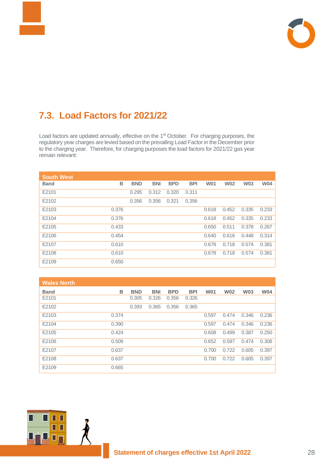



# **7.3. Load Factors for 2021/22**

Load factors are updated annually, effective on the 1<sup>st</sup> October. For charging purposes, the regulatory year charges are levied based on the prevailing Load Factor in the December prior to the charging year. Therefore, for charging purposes the load factors for 2021/22 gas year remain relevant:

| <b>South West</b> |       |            |            |            |            |            |            |            |            |
|-------------------|-------|------------|------------|------------|------------|------------|------------|------------|------------|
| <b>Band</b>       | B     | <b>BND</b> | <b>BNI</b> | <b>BPD</b> | <b>BPI</b> | <b>W01</b> | <b>W02</b> | <b>W03</b> | <b>W04</b> |
| E2101             |       | 0.295      | 0.312      | 0.320      | 0.311      |            |            |            |            |
| E2102             |       | 0.356      | 0.356      | 0.321      | 0.356      |            |            |            |            |
| E2103             | 0.376 |            |            |            |            | 0.618      | 0.452      | 0.335      | 0.233      |
| E2104             | 0.376 |            |            |            |            | 0.618      | 0.452      | 0.335      | 0.233      |
| E2105             | 0.433 |            |            |            |            | 0.650      | 0.511      | 0.378      | 0.267      |
| E2106             | 0.454 |            |            |            |            | 0.640      | 0.616      | 0.448      | 0.314      |
| E2107             | 0.610 |            |            |            |            | 0.678      | 0.718      | 0.574      | 0.381      |
| E2108             | 0.610 |            |            |            |            | 0.678      | 0.718      | 0.574      | 0.381      |
| E2109             | 0.650 |            |            |            |            |            |            |            |            |

| <b>Wales North</b> |       |            |            |            |            |            |            |            |            |
|--------------------|-------|------------|------------|------------|------------|------------|------------|------------|------------|
| <b>Band</b>        | в     | <b>BND</b> | <b>BNI</b> | <b>BPD</b> | <b>BPI</b> | <b>W01</b> | <b>W02</b> | <b>W03</b> | <b>W04</b> |
| E2101              |       | 0.305      | 0.326      | 0.356      | 0.326      |            |            |            |            |
| E2102              |       | 0.393      | 0.365      | 0.356      | 0.365      |            |            |            |            |
| E2103              | 0.374 |            |            |            |            | 0.597      | 0.474      | 0.346      | 0.236      |
| E2104              | 0.390 |            |            |            |            | 0.597      | 0.474      | 0.346      | 0.236      |
| E2105              | 0.424 |            |            |            |            | 0.608      | 0.499      | 0.387      | 0.250      |
| E2106              | 0.509 |            |            |            |            | 0.652      | 0.597      | 0.474      | 0.308      |
| E2107              | 0.637 |            |            |            |            | 0.700      | 0.722      | 0.605      | 0.397      |
| E2108              | 0.637 |            |            |            |            | 0.700      | 0.722      | 0.605      | 0.397      |
| E2109              | 0.665 |            |            |            |            |            |            |            |            |

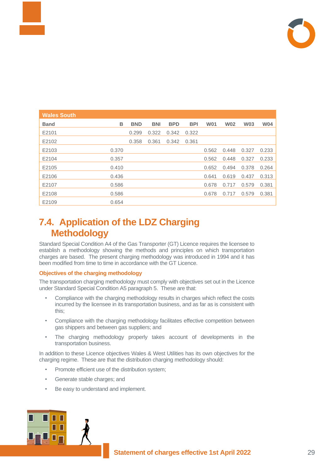

| <b>Wales South</b> |       |            |            |            |            |            |            |            |            |
|--------------------|-------|------------|------------|------------|------------|------------|------------|------------|------------|
| <b>Band</b>        | B     | <b>BND</b> | <b>BNI</b> | <b>BPD</b> | <b>BPI</b> | <b>W01</b> | <b>W02</b> | <b>W03</b> | <b>W04</b> |
| E2101              |       | 0.299      | 0.322      | 0.342      | 0.322      |            |            |            |            |
| E2102              |       | 0.358      | 0.361      | 0.342      | 0.361      |            |            |            |            |
| E2103              | 0.370 |            |            |            |            | 0.562      | 0.448      | 0.327      | 0.233      |
| E2104              | 0.357 |            |            |            |            | 0.562      | 0.448      | 0.327      | 0.233      |
| E2105              | 0.410 |            |            |            |            | 0.652      | 0.494      | 0.378      | 0.264      |
| E2106              | 0.436 |            |            |            |            | 0.641      | 0.619      | 0.437      | 0.313      |
| E2107              | 0.586 |            |            |            |            | 0.678      | 0.717      | 0.579      | 0.381      |
| E2108              | 0.586 |            |            |            |            | 0.678      | 0.717      | 0.579      | 0.381      |
| E2109              | 0.654 |            |            |            |            |            |            |            |            |

# **7.4. Application of the LDZ Charging Methodology**

Standard Special Condition A4 of the Gas Transporter (GT) Licence requires the licensee to establish a methodology showing the methods and principles on which transportation charges are based. The present charging methodology was introduced in 1994 and it has been modified from time to time in accordance with the GT Licence.

### **Objectives of the charging methodology**

The transportation charging methodology must comply with objectives set out in the Licence under Standard Special Condition A5 paragraph 5. These are that:

- Compliance with the charging methodology results in charges which reflect the costs incurred by the licensee in its transportation business, and as far as is consistent with this;
- Compliance with the charging methodology facilitates effective competition between gas shippers and between gas suppliers; and
- The charging methodology properly takes account of developments in the transportation business.

In addition to these Licence objectives Wales & West Utilities has its own objectives for the charging regime. These are that the distribution charging methodology should:

- Promote efficient use of the distribution system;
- Generate stable charges; and

П  $\blacksquare$ 

Be easy to understand and implement.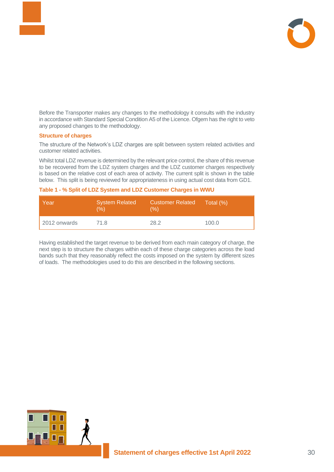

Before the Transporter makes any changes to the methodology it consults with the industry in accordance with Standard Special Condition A5 of the Licence. Ofgem has the right to veto any proposed changes to the methodology.

### **Structure of charges**

The structure of the Network's LDZ charges are split between system related activities and customer related activities.

Whilst total LDZ revenue is determined by the relevant price control, the share of this revenue to be recovered from the LDZ system charges and the LDZ customer charges respectively is based on the relative cost of each area of activity. The current split is shown in the table below. This split is being reviewed for appropriateness in using actual cost data from GD1.

| Year         | <b>System Related</b><br>(% ) | Customer Related Total (%)<br>(%) |       |  |  |
|--------------|-------------------------------|-----------------------------------|-------|--|--|
| 2012 onwards | 71.8                          | 28.2                              | 100.0 |  |  |

Having established the target revenue to be derived from each main category of charge, the next step is to structure the charges within each of these charge categories across the load bands such that they reasonably reflect the costs imposed on the system by different sizes of loads. The methodologies used to do this are described in the following sections.

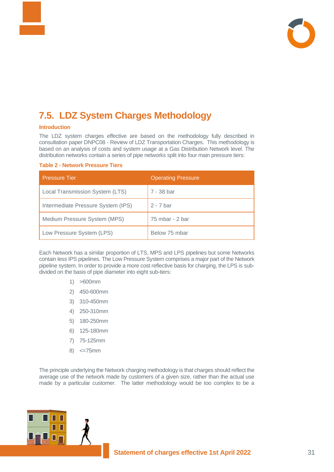

# **7.5. LDZ System Charges Methodology**

### **Introduction**

The LDZ system charges effective are based on the methodology fully described in consultation paper DNPC08 - Review of LDZ Transportation Charges. This methodology is based on an analysis of costs and system usage at a Gas Distribution Network level. The distribution networks contain a series of pipe networks split into four main pressure tiers:

### **Table 2 - Network Pressure Tiers**

| <b>Pressure Tier</b>               | <b>Operating Pressure</b> |
|------------------------------------|---------------------------|
| Local Transmission System (LTS)    | 7 - 38 bar                |
| Intermediate Pressure System (IPS) | $2 - 7$ bar               |
| Medium Pressure System (MPS)       | 75 mbar - 2 bar           |
| Low Pressure System (LPS)          | Below 75 mbar             |

Each Network has a similar proportion of LTS, MPS and LPS pipelines but some Networks contain less IPS pipelines. The Low Pressure System comprises a major part of the Network pipeline system. In order to provide a more cost reflective basis for charging, the LPS is subdivided on the basis of pipe diameter into eight sub-tiers:

- 1) >600mm
- 2) 450-600mm
- 3) 310-450mm
- 4) 250-310mm
- 5) 180-250mm
- 6) 125-180mm
- 7) 75-125mm
- 8) <=75mm

The principle underlying the Network charging methodology is that charges should reflect the average use of the network made by customers of a given size, rather than the actual use made by a particular customer. The latter methodology would be too complex to be a

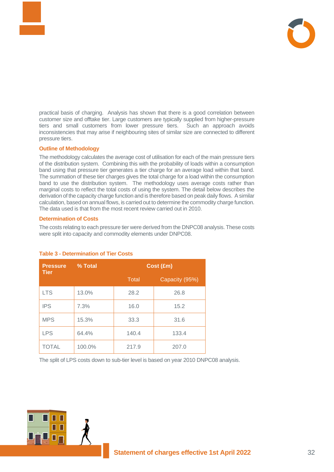

practical basis of charging. Analysis has shown that there is a good correlation between customer size and offtake tier. Large customers are typically supplied from higher-pressure tiers and small customers from lower pressure tiers. Such an approach avoids inconsistencies that may arise if neighbouring sites of similar size are connected to different pressure tiers.

### **Outline of Methodology**

The methodology calculates the average cost of utilisation for each of the main pressure tiers of the distribution system. Combining this with the probability of loads within a consumption band using that pressure tier generates a tier charge for an average load within that band. The summation of these tier charges gives the total charge for a load within the consumption band to use the distribution system. The methodology uses average costs rather than marginal costs to reflect the total costs of using the system. The detail below describes the derivation of the capacity charge function and is therefore based on peak daily flows. A similar calculation, based on annual flows, is carried out to determine the commodity charge function. The data used is that from the most recent review carried out in 2010.

### **Determination of Costs**

The costs relating to each pressure tier were derived from the DNPC08 analysis. These costs were split into capacity and commodity elements under DNPC08.

| <b>Pressure</b><br><b>Tier</b> | % Total | Cost (£m)    |                |  |  |  |  |
|--------------------------------|---------|--------------|----------------|--|--|--|--|
|                                |         | <b>Total</b> | Capacity (95%) |  |  |  |  |
| <b>LTS</b>                     | 13.0%   | 28.2         | 26.8           |  |  |  |  |
| <b>IPS</b>                     | 7.3%    | 16.0         | 15.2           |  |  |  |  |
| <b>MPS</b>                     | 15.3%   | 33.3         | 31.6           |  |  |  |  |
| <b>LPS</b>                     | 64.4%   | 140.4        | 133.4          |  |  |  |  |
| <b>TOTAL</b>                   | 100.0%  | 217.9        | 207.0          |  |  |  |  |

### **Table 3 - Determination of Tier Costs**

The split of LPS costs down to sub-tier level is based on year 2010 DNPC08 analysis.

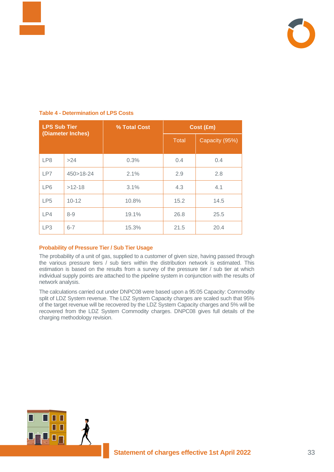

| <b>LPS Sub Tier</b><br>(Diameter Inches) |           | % Total Cost | Cost (£m) |                |  |  |  |
|------------------------------------------|-----------|--------------|-----------|----------------|--|--|--|
|                                          |           |              | Total     | Capacity (95%) |  |  |  |
| LP8                                      | >24       | 0.3%         | 0.4       | 0.4            |  |  |  |
| LP7                                      | 450>18-24 | 2.1%         | 2.9       | 2.8            |  |  |  |
| LP6                                      | $>12-18$  | 3.1%         | 4.3       | 4.1            |  |  |  |
| LP <sub>5</sub>                          | $10 - 12$ | 10.8%        | 15.2      | 14.5           |  |  |  |
| LP4                                      | $8 - 9$   | 19.1%        | 26.8      | 25.5           |  |  |  |
| LP <sub>3</sub>                          | $6 - 7$   | 15.3%        | 21.5      | 20.4           |  |  |  |

### **Table 4 - Determination of LPS Costs**

### **Probability of Pressure Tier / Sub Tier Usage**

The probability of a unit of gas, supplied to a customer of given size, having passed through the various pressure tiers / sub tiers within the distribution network is estimated. This estimation is based on the results from a survey of the pressure tier / sub tier at which individual supply points are attached to the pipeline system in conjunction with the results of network analysis.

The calculations carried out under DNPC08 were based upon a 95:05 Capacity: Commodity split of LDZ System revenue. The LDZ System Capacity charges are scaled such that 95% of the target revenue will be recovered by the LDZ System Capacity charges and 5% will be recovered from the LDZ System Commodity charges. DNPC08 gives full details of the charging methodology revision.

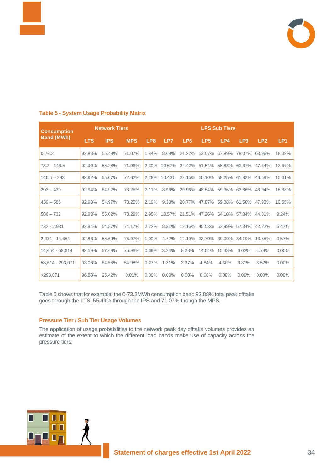

| <b>Consumption</b> |            | <b>Network Tiers</b> |            |                 | <b>LPS Sub Tiers</b> |                 |                                           |          |                 |                 |                 |
|--------------------|------------|----------------------|------------|-----------------|----------------------|-----------------|-------------------------------------------|----------|-----------------|-----------------|-----------------|
| <b>Band (MWh)</b>  | <b>LTS</b> | <b>IPS</b>           | <b>MPS</b> | LP <sub>8</sub> | LP7                  | LP <sub>6</sub> | LP <sub>5</sub>                           | LP4      | LP <sub>3</sub> | LP <sub>2</sub> | LP <sub>1</sub> |
| $0 - 73.2$         | 92.88%     | 55.49%               | 71.07%     | 1.84%           | 8.69%                |                 | 21.22% 53.07% 67.89%                      |          | 78.07% 63.96%   |                 | 18.33%          |
| $73.2 - 146.5$     | 92.90%     | 55.28%               | 71.96%     | 2.30%           |                      |                 | 10.67% 24.42% 51.54% 58.83% 62.87% 47.64% |          |                 |                 | 13.67%          |
| $146.5 - 293$      | 92.92%     | 55.07%               | 72.62%     | 2.28%           |                      |                 | 10.43% 23.15% 50.10% 58.25% 61.82% 46.59% |          |                 |                 | 15.61%          |
| $293 - 439$        | 92.94%     | 54.92%               | 73.25%     | 2.11%           | 8.96%                |                 | 20.96% 48.54% 59.35% 63.86% 48.94%        |          |                 |                 | 15.33%          |
| $439 - 586$        | 92.93%     | 54.97%               | 73.25%     | 2.19%           | $9.33\%$             |                 | 20.77% 47.87% 59.38% 61.50% 47.93%        |          |                 |                 | 10.55%          |
| $586 - 732$        | 92.93%     | 55.02%               | 73.29%     | 2.95%           |                      |                 | 10.57% 21.51% 47.26% 54.10% 57.84% 44.31% |          |                 |                 | 9.24%           |
| 732 - 2,931        | 92.94%     | 54.87%               | 74.17%     | $2.22\%$        | 8.81%                |                 | 19.16% 45.53% 53.99%                      |          | 57.34% 42.22%   |                 | 5.47%           |
| 2,931 - 14,654     | 92.83%     | 55.69%               | 75.97%     | 1.00%           | 4.72%                |                 | 12.10% 33.70% 39.09% 34.19%               |          |                 | 13.85%          | 0.57%           |
| 14,654 - 58,614    | 92.59%     | 57.69%               | 75.98%     | 0.69%           | 3.24%                | 8.28%           | 14.04% 15.33%                             |          | 6.03%           | 4.79%           | 0.00%           |
| 58,614 - 293,071   | 93.06%     | 54.58%               | 54.98%     | 0.27%           | 1.31%                | 3.37%           | 4.84%                                     | 4.30%    | 3.31%           | 3.52%           | 0.00%           |
| >293.071           | 96.88%     | 25.42%               | 0.01%      | $0.00\%$        | $0.00\%$             | $0.00\%$        | $0.00\%$                                  | $0.00\%$ | $0.00\%$        | $0.00\%$        | 0.00%           |

### **Table 5 - System Usage Probability Matrix**

Table 5 shows that for example: the 0-73.2MWh consumption band 92.88% total peak offtake goes through the LTS, 55.49% through the IPS and 71.07% though the MPS.

### **Pressure Tier / Sub Tier Usage Volumes**

The application of usage probabilities to the network peak day offtake volumes provides an estimate of the extent to which the different load bands make use of capacity across the pressure tiers.

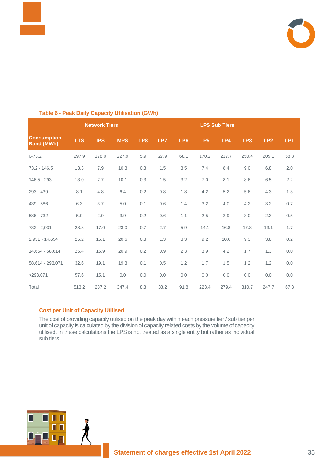



| <b>Network Tiers</b>                    |            |            |            |                 |      |                 | <b>LPS Sub Tiers</b> |       |                 |       |                 |
|-----------------------------------------|------------|------------|------------|-----------------|------|-----------------|----------------------|-------|-----------------|-------|-----------------|
| <b>Consumption</b><br><b>Band (MWh)</b> | <b>LTS</b> | <b>IPS</b> | <b>MPS</b> | LP <sub>8</sub> | LP7  | LP <sub>6</sub> | LP <sub>5</sub>      | LP4   | LP <sub>3</sub> | LP2   | LP <sub>1</sub> |
| $0 - 73.2$                              | 297.9      | 178.0      | 227.9      | 5.9             | 27.9 | 68.1            | 170.2                | 217.7 | 250.4           | 205.1 | 58.8            |
| $73.2 - 146.5$                          | 13.3       | 7.9        | 10.3       | 0.3             | 1.5  | 3.5             | 7.4                  | 8.4   | 9.0             | 6.8   | 2.0             |
| $146.5 - 293$                           | 13.0       | 7.7        | 10.1       | 0.3             | 1.5  | 3.2             | 7.0                  | 8.1   | 8.6             | 6.5   | 2.2             |
| 293 - 439                               | 8.1        | 4.8        | 6.4        | 0.2             | 0.8  | 1.8             | 4.2                  | 5.2   | 5.6             | 4.3   | 1.3             |
| 439 - 586                               | 6.3        | 3.7        | 5.0        | 0.1             | 0.6  | 1.4             | 3.2                  | 4.0   | 4.2             | 3.2   | 0.7             |
| 586 - 732                               | 5.0        | 2.9        | 3.9        | 0.2             | 0.6  | 1.1             | 2.5                  | 2.9   | 3.0             | 2.3   | 0.5             |
| 732 - 2,931                             | 28.8       | 17.0       | 23.0       | 0.7             | 2.7  | 5.9             | 14.1                 | 16.8  | 17.8            | 13.1  | 1.7             |
| 2.931 - 14.654                          | 25.2       | 15.1       | 20.6       | 0.3             | 1.3  | 3.3             | 9.2                  | 10.6  | 9.3             | 3.8   | 0.2             |
| 14.654 - 58.614                         | 25.4       | 15.9       | 20.9       | 0.2             | 0.9  | 2.3             | 3.9                  | 4.2   | 1.7             | 1.3   | 0.0             |
| 58,614 - 293,071                        | 32.6       | 19.1       | 19.3       | 0.1             | 0.5  | 1.2             | 1.7                  | 1.5   | 1.2             | 1.2   | 0.0             |
| >293,071                                | 57.6       | 15.1       | 0.0        | 0.0             | 0.0  | 0.0             | 0.0                  | 0.0   | 0.0             | 0.0   | 0.0             |
| Total                                   | 513.2      | 287.2      | 347.4      | 8.3             | 38.2 | 91.8            | 223.4                | 279.4 | 310.7           | 247.7 | 67.3            |

### **Table 6 - Peak Daily Capacity Utilisation (GWh)**

### **Cost per Unit of Capacity Utilised**

The cost of providing capacity utilised on the peak day within each pressure tier / sub tier per unit of capacity is calculated by the division of capacity related costs by the volume of capacity utilised. In these calculations the LPS is not treated as a single entity but rather as individual sub tiers.

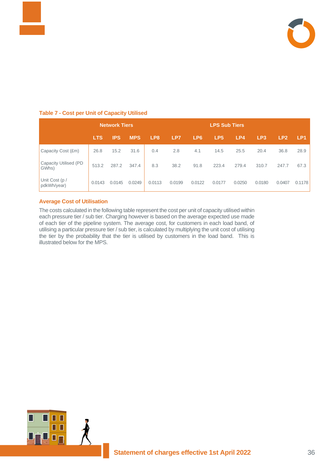

|                                |            | <b>Network Tiers</b> |            |                 | <b>LPS Sub Tiers</b> |                 |                 |        |                 |                 |                 |
|--------------------------------|------------|----------------------|------------|-----------------|----------------------|-----------------|-----------------|--------|-----------------|-----------------|-----------------|
|                                | <b>LTS</b> | <b>IPS</b>           | <b>MPS</b> | LP <sub>8</sub> | LP7                  | LP <sub>6</sub> | LP <sub>5</sub> | LP4    | LP <sub>3</sub> | LP <sub>2</sub> | LP <sub>1</sub> |
| Capacity Cost (£m)             | 26.8       | 15.2                 | 31.6       | 0.4             | 2.8                  | 4.1             | 14.5            | 25.5   | 20.4            | 36.8            | 28.9            |
| Capacity Utilised (PD<br>GWhs) | 513.2      | 287.2                | 347.4      | 8.3             | 38.2                 | 91.8            | 223.4           | 279.4  | 310.7           | 247.7           | 67.3            |
| Unit Cost (p /<br>pdkWh/year)  | 0.0143     | 0.0145               | 0.0249     | 0.0113          | 0.0199               | 0.0122          | 0.0177          | 0.0250 | 0.0180          | 0.0407          | 0.1178          |

### **Table 7 - Cost per Unit of Capacity Utilised**

### **Average Cost of Utilisation**

The costs calculated in the following table represent the cost per unit of capacity utilised within each pressure tier / sub tier. Charging however is based on the average expected use made of each tier of the pipeline system. The average cost, for customers in each load band, of utilising a particular pressure tier / sub tier, is calculated by multiplying the unit cost of utilising the tier by the probability that the tier is utilised by customers in the load band. This is illustrated below for the MPS.

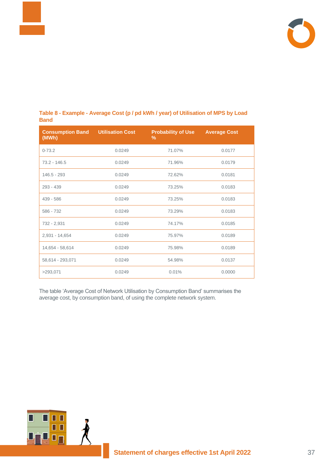

| <b>Consumption Band Utilisation Cost</b><br>(MWh) |        | <b>Probability of Use</b><br>% | <b>Average Cost</b> |
|---------------------------------------------------|--------|--------------------------------|---------------------|
| $0 - 73.2$                                        | 0.0249 | 71.07%                         | 0.0177              |
| $73.2 - 146.5$                                    | 0.0249 | 71.96%                         | 0.0179              |
| $146.5 - 293$                                     | 0.0249 | 72.62%                         | 0.0181              |
| $293 - 439$                                       | 0.0249 | 73.25%                         | 0.0183              |
| $439 - 586$                                       | 0.0249 | 73.25%                         | 0.0183              |
| 586 - 732                                         | 0.0249 | 73.29%                         | 0.0183              |
| 732 - 2,931                                       | 0.0249 | 74.17%                         | 0.0185              |
| 2,931 - 14,654                                    | 0.0249 | 75.97%                         | 0.0189              |
| 14,654 - 58,614                                   | 0.0249 | 75.98%                         | 0.0189              |
| 58,614 - 293,071                                  | 0.0249 | 54.98%                         | 0.0137              |
| >293,071                                          | 0.0249 | 0.01%                          | 0.0000              |

### **Table 8 - Example - Average Cost (p / pd kWh / year) of Utilisation of MPS by Load Band**

The table 'Average Cost of Network Utilisation by Consumption Band' summarises the average cost, by consumption band, of using the complete network system.

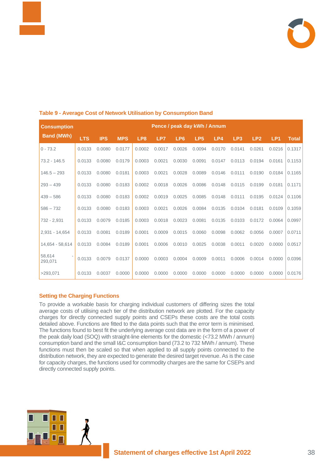

| <b>Consumption</b> |            |            |            |                 | Pence / peak day kWh / Annum |                 |                 |        |                 |                 |                 |              |
|--------------------|------------|------------|------------|-----------------|------------------------------|-----------------|-----------------|--------|-----------------|-----------------|-----------------|--------------|
| <b>Band (MWh)</b>  | <b>LTS</b> | <b>IPS</b> | <b>MPS</b> | LP <sub>8</sub> | LP7                          | LP <sub>6</sub> | LP <sub>5</sub> | LP4    | LP <sub>3</sub> | LP <sub>2</sub> | LP <sub>1</sub> | <b>Total</b> |
| $0 - 73.2$         | 0.0133     | 0.0080     | 0.0177     | 0.0002          | 0.0017                       | 0.0026          | 0.0094          | 0.0170 | 0.0141          | 0.0261          | 0.0216          | 0.1317       |
| $73.2 - 146.5$     | 0.0133     | 0.0080     | 0.0179     | 0.0003          | 0.0021                       | 0.0030          | 0.0091          | 0.0147 | 0.0113          | 0.0194          | 0.0161          | 0.1153       |
| $146.5 - 293$      | 0.0133     | 0.0080     | 0.0181     | 0.0003          | 0.0021                       | 0.0028          | 0.0089          | 0.0146 | 0.0111          | 0.0190          | 0.0184          | 0.1165       |
| $293 - 439$        | 0.0133     | 0.0080     | 0.0183     | 0.0002          | 0.0018                       | 0.0026          | 0.0086          | 0.0148 | 0.0115          | 0.0199          | 0.0181          | 0.1171       |
| $439 - 586$        | 0.0133     | 0.0080     | 0.0183     | 0.0002          | 0.0019                       | 0.0025          | 0.0085          | 0.0148 | 0.0111          | 0.0195          | 0.0124          | 0.1106       |
| $586 - 732$        | 0.0133     | 0.0080     | 0.0183     | 0.0003          | 0.0021                       | 0.0026          | 0.0084          | 0.0135 | 0.0104          | 0.0181          | 0.0109          | 0.1059       |
| 732 - 2,931        | 0.0133     | 0.0079     | 0.0185     | 0.0003          | 0.0018                       | 0.0023          | 0.0081          | 0.0135 | 0.0103          | 0.0172          | 0.0064          | 0.0997       |
| 2,931 - 14,654     | 0.0133     | 0.0081     | 0.0189     | 0.0001          | 0.0009                       | 0.0015          | 0.0060          | 0.0098 | 0.0062          | 0.0056          | 0.0007          | 0.0711       |
| 14.654 - 58.614    | 0.0133     | 0.0084     | 0.0189     | 0.0001          | 0.0006                       | 0.0010          | 0.0025          | 0.0038 | 0.0011          | 0.0020          | 0.0000          | 0.0517       |
| 58.614<br>293,071  | 0.0133     | 0.0079     | 0.0137     | 0.0000          | 0.0003                       | 0.0004          | 0.0009          | 0.0011 | 0.0006          | 0.0014          | 0.0000          | 0.0396       |
| >293.071           | 0.0133     | 0.0037     | 0.0000     | 0.0000          | 0.0000                       | 0.0000          | 0.0000          | 0.0000 | 0.0000          | 0.0000          | 0.0000          | 0.0176       |

### **Table 9 - Average Cost of Network Utilisation by Consumption Band**

### **Setting the Charging Functions**

п П

 $\square$ 

To provide a workable basis for charging individual customers of differing sizes the total average costs of utilising each tier of the distribution network are plotted. For the capacity charges for directly connected supply points and CSEPs these costs are the total costs detailed above. Functions are fitted to the data points such that the error term is minimised. The functions found to best fit the underlying average cost data are in the form of a power of the peak daily load (SOQ) with straight-line elements for the domestic (<73.2 MWh / annum) consumption band and the small I&C consumption band (73.2 to 732 MWh / annum). These functions must then be scaled so that when applied to all supply points connected to the distribution network, they are expected to generate the desired target revenue. As is the case for capacity charges, the functions used for commodity charges are the same for CSEPs and directly connected supply points.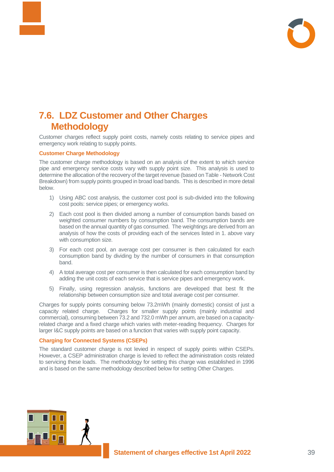

# **7.6. LDZ Customer and Other Charges Methodology**

Customer charges reflect supply point costs, namely costs relating to service pipes and emergency work relating to supply points.

### **Customer Charge Methodology**

The customer charge methodology is based on an analysis of the extent to which service pipe and emergency service costs vary with supply point size. This analysis is used to determine the allocation of the recovery of the target revenue (based on Table - Network Cost Breakdown) from supply points grouped in broad load bands. This is described in more detail below.

- 1) Using ABC cost analysis, the customer cost pool is sub-divided into the following cost pools: service pipes; or emergency works.
- 2) Each cost pool is then divided among a number of consumption bands based on weighted consumer numbers by consumption band. The consumption bands are based on the annual quantity of gas consumed. The weightings are derived from an analysis of how the costs of providing each of the services listed in 1. above vary with consumption size.
- 3) For each cost pool, an average cost per consumer is then calculated for each consumption band by dividing by the number of consumers in that consumption band.
- 4) A total average cost per consumer is then calculated for each consumption band by adding the unit costs of each service that is service pipes and emergency work.
- 5) Finally, using regression analysis, functions are developed that best fit the relationship between consumption size and total average cost per consumer.

Charges for supply points consuming below 73.2mWh (mainly domestic) consist of just a capacity related charge. Charges for smaller supply points (mainly industrial and commercial), consuming between 73.2 and 732.0 mWh per annum, are based on a capacityrelated charge and a fixed charge which varies with meter-reading frequency. Charges for larger I&C supply points are based on a function that varies with supply point capacity.

### **Charging for Connected Systems (CSEPs)**

г П

The standard customer charge is not levied in respect of supply points within CSEPs. However, a CSEP administration charge is levied to reflect the administration costs related to servicing these loads. The methodology for setting this charge was established in 1996 and is based on the same methodology described below for setting Other Charges.